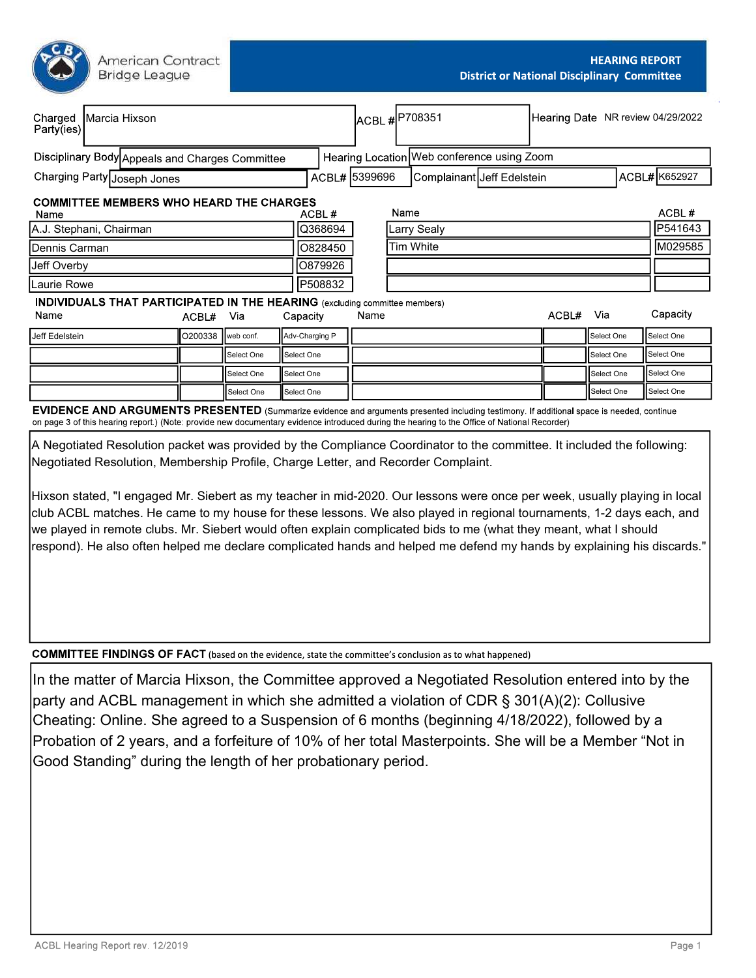| Charged<br>Marcia Hixson<br>Party(ies)                                                    |         |            |                |                  | ACBL #P708351 |           |                                            |                            | Hearing Date NR review 04/29/2022 |               |                  |
|-------------------------------------------------------------------------------------------|---------|------------|----------------|------------------|---------------|-----------|--------------------------------------------|----------------------------|-----------------------------------|---------------|------------------|
| Disciplinary Body Appeals and Charges Committee                                           |         |            |                |                  |               |           | Hearing Location Web conference using Zoom |                            |                                   |               |                  |
| Charging Party Joseph Jones                                                               |         |            |                |                  | ACBL# 5399696 |           |                                            | Complainant Jeff Edelstein |                                   | ACBL# K652927 |                  |
| <b>COMMITTEE MEMBERS WHO HEARD THE CHARGES</b><br>Name<br>A.J. Stephani, Chairman         |         |            |                | ACBL#<br>Q368694 |               | Name      | Larry Sealy                                |                            |                                   |               | ACBL#<br>P541643 |
| Dennis Carman                                                                             |         |            |                | 0828450          |               | Tim White |                                            |                            |                                   | M029585       |                  |
| Jeff Overby                                                                               |         |            |                | O879926          |               |           |                                            |                            |                                   |               |                  |
| Laurie Rowe                                                                               |         |            |                | P508832          |               |           |                                            |                            |                                   |               |                  |
| <b>INDIVIDUALS THAT PARTICIPATED IN THE HEARING</b> (excluding committee members)<br>Name | ACBL#   | Via        | Capacity       |                  | Name          |           |                                            |                            | ACBL#                             | Via           | Capacity         |
| Jeff Edelstein                                                                            | O200338 | web conf.  | Adv-Charging P |                  |               |           |                                            |                            |                                   | Select One    | Select One       |
|                                                                                           |         | Select One | Select One     |                  |               |           |                                            |                            |                                   | Select One    | Select One       |
|                                                                                           |         | Select One | Select One     |                  |               |           |                                            |                            |                                   | Select One    | Select One       |
|                                                                                           |         | Select One | Select One     |                  |               |           |                                            |                            |                                   | Select One    | Select One       |
| EVERENCE AND ADOUNENTS BRESENTED                                                          |         |            |                |                  |               |           |                                            |                            |                                   |               |                  |

**EVIDENCE AND ARGUMENTS PRESENTED** (Summarize evidence and arguments presented including testimony. If additional space is needed, continue on page 3 of this hearing report.) (Note: provide new documentary evidence introduced during the hearing to the Office of National Recorder)

A Negotiated Resolution packet was provided by the Compliance Coordinator to the committee. It included the following: Negotiated Resolution, Membership Profile, Charge Letter, and Recorder Complaint.

Hixson stated, "I engaged Mr. Siebert as my teacher in mid-2020. Our lessons were once per week, usually playing in local club ACBL matches. He came to my house for these lessons. We also played in regional tournaments, 1-2 days each, and we played in remote clubs. Mr. Siebert would often explain complicated bids to me (what they meant, what I should respond). He also often helped me declare complicated hands and helped me defend my hands by explaining his discards."

**COMMITTEE FINDINGS OF FACT** (based on the evidence, state the committee's conclusion as to what happened)

In the matter of Marcia Hixson, the Committee approved a Negotiated Resolution entered into by the party and ACBL management in which she admitted a violation of CDR § 301(A)(2): Collusive Cheating: Online. She agreed to a Suspension of 6 months (beginning 4/18/2022), followed by a Probation of 2 years, and a forfeiture of 10% of her total Masterpoints. She will be a Member "Not in Good Standing" during the length of her probationary period.